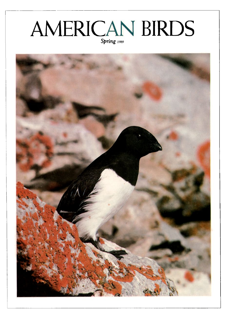## **AMERICAN BIRDS Spring 1989**

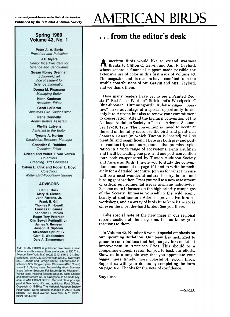#### **Spring 1989 Volume 43, No. I**

**Peter A. A. Berle President and Publisher** 

**J. R Myers Senior Vice President for Science and Sanctuaries** 

**Susan Roney Drennan Editor-in-Chief Vice President for Science Information** 

**Donna M. Pisacano Managing Editor** 

**Kenn Kaufman Associate Editor** 

**Geoff LeBaron Christmas Bird Count Editor** 

**Irene Connelly Administrative Assistant** 

**Phyllis Lutyens Assistant to the Editor** 

**Tyrone A. Horton Circulation;Business Manager** 

> **Chandler S. Robbins Technical Editor**

**Aldeen and Willet T. Van Velzen Co-editors Breeding Bird Censuses** 

**Calvin L. Cink and Roger L. Boyd Co-editors Winter Bird-Population Studies** 

#### **ADVISORS**

**Carl E. Bock Mary H. Clench John Farrand, Jr. Frank B. Gill Thomas R. Howell Frances C. James Kenneth C. Parkes Roger Tory Peterson Olin Sewall Pettingill, Jr. James V. Remsen Joseph R. Siphron Alexander Sprunt, IV Glen E. Woolfenden Dale A. Zimmerman** 

**AMERICAN BIRDS is published five times a year Editorial and business offices are located at 950 Third**  Avenue, New York, N.Y. 10022 (212) 546-9191. Sub**scriptions, all in U.S. \$: One year \$27.50, Two years**  \$50., Canada and Foreign \$32.50, Libraries and In**stitutions \$35. Single copies: Christmas (Bird Count) Issue \$15., Spring Issue (Autumn M•gration), Summer issue (Winter Season). Fall Issue (Spring Migration).**  Winter Issue (Nesting Season) all \$5.00 each. Checks and money orders in U.S. \$ only should be made pay**able to AMERICAN BIRDS. Second class postage**  paid at New York, N.Y. and additional Post Offices. **Copyright ¸ 1989 by The National Audubon Society. Postmaster: Send address changes to AMERICAN BIRDS. 950 Third Avenue. New York, N.Y. 10022. ISSN 0004-7686.** 

# **AMERICAN BIRDS**

### **... from the editor's desk**

**A** merican Birds would like to extend warmest thanks to Clifton C. Garvin and Ann F. Gaylord, **whose generous financial support made possible the extensive use of color in this first issue of Volume 43. The magazine and its readers have benefited from the sizable contributions of Mr. Garvin and Mrs. Gaylord, and we thank them.** 

**How many readers have yet to see a Painted Redstart? Red-faced Warbler? Strickland's Woodpecker? Blue-throated Hummingbird? Rufous-winged Sparrow? Take advantage of a special opportunity to not only bird Arizona but also to renew your commitment to conservation. Attend the biennial convention of the National Audubon Society in Tucson, Arizona, September 12-16, 1989. The convention is timed to occur at the end of the rainy season so the bird- and plant-rich Sonoran Desert (in which Tucson is located) will be plentiful and magnificent. There are both pre- and postconvention trips and tours planned that promise exploration in a wide range of ecosystems. Kenn Kaufman and I will be leading one pre- and one post-convention tour, both co-sponsored by Tucson Audubon Society and American Birds. I invite you to study the convention announcement on page 194 and to write immediately for a detailed brochure. Join us for what I'm sure will be a most wonderful natural history, issues, and birding get-together. Treat yourself to a new assessment of critical environmental issues germane nationwide. Become more informed on the high priority campaigns of the Society. Immerse yourself in the wild scenic beauty of southeastern Arizona, provocative forums, workshops, and an array of birds fit to knock the socks off even the most die-hard birder. See you there.** 

**Take special note of the new maps in our regional reports section of the magazine. Let us know your reactions to them.** 

**In Volume 42, Number 5 we put special emphasis on our upcoming Birdathon. Our team has mobilized to generate contributions that help us pay for consistent improvement in American Birds. This should be a compelling enough reason for you to back our efforts. Show us in a tangible way that you appreciate your bigger, more timely, more colorful American Birds. Support us with your dollars by completing the form on page 188. Thanks for the vote of confidence.** 

**Stay tuned!**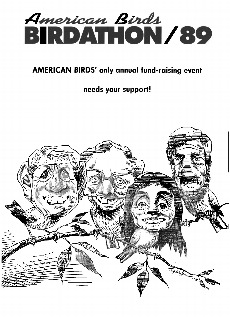

## **AMERICAN BIRDS' only annual fund-raising event**

### **needs your support!**

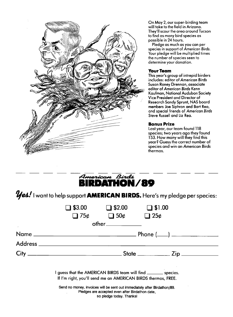

**On May 2, our super-birding team will take to the field in Arizona. They'll scour the area around Tucson to find as many bird species as possible in 24 hours.** 

**Pledge as much as you can per species in support of American Birds. Your pledge will be multiplied times the number of species seen to determine your donation.** 

#### **Your Team**

**This year's group of intrepid birders includes: editor of American Birds Susan Roney Drennan, associate editor of American Birds Kenn Kaufman, National Audubon Society Vice President and Director of Research Sandy Sprunt, NAS board members Joe Siphron and Bart Rea, and special friends of American Birds Steve Russell and Liz Rea.** 

### **Bonus Prize**

**Last year, our team found 118 species; two years ago they found 153. How many will they find this year? Guess the correct number of species and win an American Birds thermos.** 



*Yes!* **I want to help support AMERICAN BIRDS. Here's my pledge per species:** 

| \$3.00                                                                                                                                                  | \$2.00            | \$1.00                |  |  |
|---------------------------------------------------------------------------------------------------------------------------------------------------------|-------------------|-----------------------|--|--|
| $\Box$ 75¢                                                                                                                                              |                   | $\Box$ 50¢ $\Box$ 25¢ |  |  |
|                                                                                                                                                         | other____________ |                       |  |  |
|                                                                                                                                                         |                   |                       |  |  |
|                                                                                                                                                         |                   |                       |  |  |
|                                                                                                                                                         |                   |                       |  |  |
| guess that the AMERICAN BIRDS team will find _______ species.<br>If I'm right, you'll send me an AMERICAN BIRDS thermos, FREE.                          |                   |                       |  |  |
| Send no money, invoices will be sent out immediately after Birdathon/89.<br>Pledges are accepted even after Birdathon date,<br>so pledge today. Thanks! |                   |                       |  |  |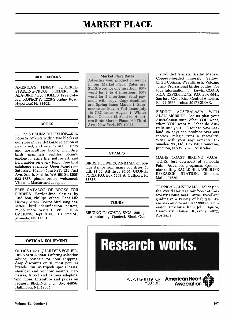## **MARKET PLACE**

#### **BIRD FEEDERS**

AMERICA'S FINEST SOUIRREL/ STARLING-PROOF FEEDERS: DI-ALA-BIRD NEST HOMES. Free Catalog. KOPECKY, 1220-S Ridge Road, Hypoluxo, FL 33462.

#### **BOOKS**

FLORA & FAUNA BOOKSHOP-Rhinoceros Auklets within two blocks of our store in Seattle! Large selection of new, used, and rare natural history and horticulture books, including birds, mammals, reptiles, botany,<br>ecology, marine life, nature art, and field guides on every topic. Free bird catalogue available. Open Monday-Saturday, 10am-5pm PST, 121 First Ave. South, Seattle, WA 98104. (206) 623-4727, phone orders welcomed. Visa and Mastercard accepted.

FREE CATALOG OF BOOKS FOR BIRDERS. Hard-to-find classics by Audubon, Phillips, others, Bent Life History series, Borror bird song cassettes, bird identification posters,<br>much more. Write DOVER PUBLI-CATIONS, Dept. A280, 31 E. 2nd St., Mineola, NY 11501.

#### **OPTICAL EQUIPMENT**

OPTICS HEADQUARTERS FOR BIR-DERS SINCE 1960. Offering selection advice, postpaid 24 hour shipping, deep discounts on 10 most popular brands. Plus: six tripods, special cases, shoulder and window mounts, harnesses, tripod and camera adapters, and more. Literature and prices on request. BIRDING, P.O. Box 4405E, Halfmoon. NH 12065.

#### **Market Place Rates**

Advertise your product or service in our Market Place. Rates are: \$1.15/word for one insertion; 90¢/ word for 2 to 4 insertions:  $60¢/$ word for 5 insertions. Send payment with copy. Copy deadlines are: Spring issue: March 1; Summer issue: May 1; Fall issue: July 15; CBC issue: August 1; Winter issue: October 15. Send to: American Birds, Market Place, 950 Third Ave., New York, NY 10022.

#### **STAMPS**

BIRDS, FLOWERS, ANIMALS on postage stamps from many countries. 50 diff. \$1.00. All three \$2.65. GEORGE FORD, P.O. Box 5203-A, Gulfport, FL 33737.

#### **TOURS**

BIRDING IN COSTA RICA. 850 species including: Ouetzal, Black Guan,

Fierv-billed Aracari, Scarlet Macaw. Coppery-headed Emerald, Yellow-<br>billed Cotinga, Wrenthrush, Volcano Junco. Professional birder guides. For tour information: T.J. Lewis, COSTA RICA EXPEDITIONS, P.O. Box 6941. San Jose, Costa Rica, Central America. Ph: 22-0333, Telex: 2917 CREAR.

**BIRDING AUSTRALASIA WITH** ALAN MCBRIDE. Let us plan your Australasian tour. What YOU want. when YOU want it. Schedule Australia into your IOC tour to New Zealand, 26 days can produce over 400 species. Pelagic trips a speciality. Write with your requirements, Diomedea Pty., Ltd., Box 190, Cremorne. Junction, N.S.W. 2090, Australia.

MAINE COAST BIRDING VACA-TIONS. Just downeast of Schoodic Point. Advanced programs. Spectacular setting. EAGLE HILL WILDLIFE RESEARCH STATION. Steuben. Maine 04680.

TROPICAL AUSTRALIA. Holiday in the World Heritage rainforest at Cassowary House near Cairns. Excellent guiding in a variety of habitats. We are also an official IOC 1990 tour operator. Brochure from John Squire, Cassowary House, Kuranda 4872, Australia.

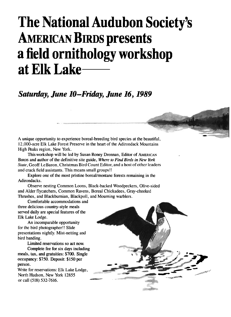## **The National Audubon Society's AMERICAN BIRDS presents a field ornithology workshop at Elk Lake**

### **Saturday, June 10-Friday, June 16, 1989**

**A unique opportunity to experience boreal-breeding bird species at the beautiful, 12,000-acre Elk Lake Forest Preserve in the heart of the Adirondack Mountains High Peaks region, New York.** 

**This workshop will be led by Susan Roney Drennan, Editor of AMERICAN BIRDS and author of the definitive site guide, Where to Find Birds in New York State, Geoff LeBaron. Christmas Bird Count Editor, and a host of other leaders and crack field assistants. This means small groups!!** 

**Explore one of the most pristine boreal/montane forests remaining in the Adirondacks.** 

**Observe nesting Common Loons, Black-backed Woodpeckers, Olive-sided and Alder flycatchers, Common Ravens, Boreal Chickadees, Gray-cheeked Thrushes, and Blackburnian, Blackpoll, and Mourning warblers.** 

**Comfortable accommodations and three delicious country-style meals served daily are special features of the Elk Lake Lodge.** 

**An incomparable opportunity for the bird photographer!! Slide presentations nightly. Mist-netting and bird banding.** 

**Limited reservations so act now.** 

**Complete fee for six days including meals, tax, and gratuities: \$700. Single occupancy: \$750. Deposit: \$150 per person.** 

**Write for reservations: Elk Lake Lodge, North Hudson, New York 12855 or call (518) 532-7616.** 

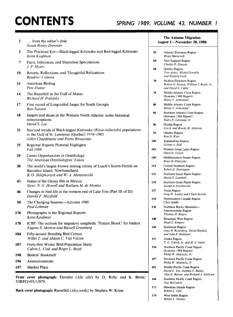## **CONTENTS SPRING 1989, VOLUME 43, NUMBER I**

| from the editor's desk<br>$\mathbf{2}$                                                   |                                                                                                                            | <b>The Autumn Migration</b><br>August 1-November 30, 1988 |                                                                                                            |
|------------------------------------------------------------------------------------------|----------------------------------------------------------------------------------------------------------------------------|-----------------------------------------------------------|------------------------------------------------------------------------------------------------------------|
| 3                                                                                        | Susan Roney Drennan<br>The Practiced Eye-Black-legged Kittiwake and Red-legged Kittiwake<br>Kenn Kaufman                   | 55                                                        | Atlantic Provinces Region<br><b>Bruce Mactavish</b>                                                        |
| 7                                                                                        | Facts, Inferences, and Shameless Speculations<br>J. P. Myers                                                               | 60                                                        | New England Region<br>Charles D. Duncan                                                                    |
| 10                                                                                       | Retorts, Reflections, and Thoughtful Refutations<br>Readers' Column                                                        | 68                                                        | Quebec Region<br>Yves Aubry, Michel Gosselin,<br>and Richard Yank                                          |
| 11                                                                                       | <b>American Birding</b><br>Pete Dunne                                                                                      | 70                                                        | Hudson/Delaware Region<br>Robert O. Paxton, William J. Boyle, Jr.,<br>and David A. Cutler                  |
| 14                                                                                       | The Razorbill in the Gulf of Maine<br>Richard H. Podolsky                                                                  | 76                                                        | Middle Atlantic Coast Region<br>(Summer 1988 Report)<br>Henry T. Armistead                                 |
| 17                                                                                       | First record of Long-tailed Jaeger for South Georgia<br><b>Ron Naveen</b>                                                  | 80                                                        | Middle Atlantic Coast Region<br>Henry T. Armistead                                                         |
| 18                                                                                       | Jaegers and skuas in the Western North Atlantic: some historical<br>misconceptions<br>David S. Lee                         | 86<br>90                                                  | Southern Atlantic Coast Region<br>(Summer 1988 Report)<br>Harry E. LeGrand, Jr.                            |
| 21                                                                                       | Size and trends of Black-legged Kittiwake (Rissa tridactyla) populations<br>in the Gulf of St. Lawrence (Quebec) 1974-1985 | 94                                                        | Florida Region<br>Lyn S. and Brooks H. Atherton<br>Ontario Region<br>Ron D. Weir                           |
| 25                                                                                       | Gilles Chapdelaine and Pierre Brousseau<br>Regional Reports Pictorial Highlights                                           | 100                                                       | Appalachian Region<br>George A. Hall                                                                       |
|                                                                                          | <b>Fall 1988</b>                                                                                                           | 104                                                       | Western Great Lakes Region<br>Daryl D. Tessen                                                              |
| 29                                                                                       | Career Opportunities in Ornithology<br>The American Ornithologists' Union                                                  | 108                                                       | Middlewestern Prairie Region<br>Bruce B. Peterjohn                                                         |
| 38                                                                                       | The world's largest known nesting colony of Leach's Storm-Petrels on<br>Baccalieu Island, Newfoundland                     | 114                                                       | Central Southern Region<br>Robert D. Purrington                                                            |
|                                                                                          | B. O. Sklepkovych and W. A. Montevecchi                                                                                    | 121                                                       | Northern Great Plains Region<br>David O. Lambeth                                                           |
| 43                                                                                       | Status of the Glossy Ibis in Mexico<br>Steve N. G. Howell and Barbara M. de Montes                                         | 124                                                       | Southern Great Plains Region<br>Joseph A. Grzybowski                                                       |
| 46                                                                                       | Changes in bird life at the western end of Lake Erie (Part III of III)<br>Harold F. Mayfield                               | 127                                                       | <b>Texas Region</b><br>Greg W. Lasley and Chuck Sexton                                                     |
| 50                                                                                       | The Changing Seasons-Autumn 1988                                                                                           | 134                                                       | Northwestern Canada Region<br>Chris Siddle                                                                 |
| 176                                                                                      | Paul Lehman<br>Photographs in the Regional Reports                                                                         | 136                                                       | Northern Rocky Mountain-<br>Intermountain Region<br>Thomas H. Rogers                                       |
|                                                                                          | Kenn Kaufman<br>ICBP: The outlook for migratory songbirds: "Future Shock" for birders                                      | 140                                                       | Mountain West Region<br>Hugh E. Kingery                                                                    |
| 178                                                                                      | Eugene S. Morton and Russell Greenberg                                                                                     | 144                                                       | Southwest Region<br>Gary H. Rosenberg, David Stejskal,                                                     |
| 184                                                                                      | Fifty-second Breeding Bird Census<br>Willet T. and Aldeen C. Van Velzen                                                    | 151                                                       | and John P. Hubbard<br>Alaska Region                                                                       |
| 187                                                                                      | Forty-first Winter Bird-Population Study<br>Calvin L. Cink and Roger L. Boyd                                               | 154                                                       | T. G. Tobish, Jr. and M. E. Isleib<br>Northern Pacific Coast Region<br>(Summer 1988 Report)                |
| 190                                                                                      | Birders' Bookshelf                                                                                                         |                                                           | Philip W. Mattocks, Jr.                                                                                    |
| 196                                                                                      | Announcements                                                                                                              | 157                                                       | Northern Pacific Coast Region<br>Philip W. Mattocks, Jr.                                                   |
| 197                                                                                      | Market Place                                                                                                               | 161                                                       | Middle Pacific Coast Region<br>David G. Yee, Stephen F. Bailey,<br>Alan D. Barron, and Richard A. Erickson |
| Front cover photograph: Dovekie (Alle alle) by D. Roby and K. Brink/<br>VIREO/r05/1/079. |                                                                                                                            | 166                                                       | Southern Pacific Coast Region<br>Guy McCaskie                                                              |
| Back cover photograph: Razorbill (Alca torda) by Stephen W. Kress.                       |                                                                                                                            | 172                                                       | Hawaiian Islands Region<br>Robert L. Pyle                                                                  |
|                                                                                          |                                                                                                                            | 174                                                       | West Indies Region<br>Robert L Norton                                                                      |